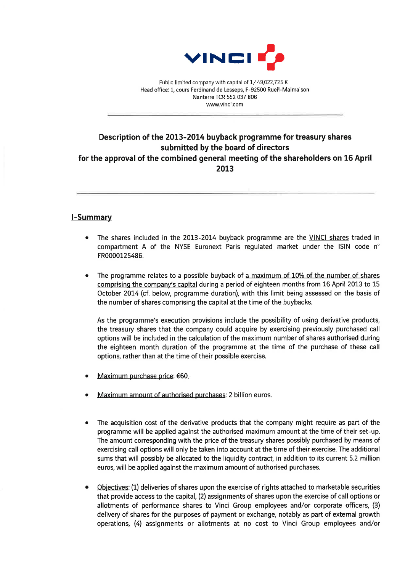

Public limited company with capital of 1,449,022,725  $\epsilon$ Head office: 1, cours Ferdinand de Lesseps, F-92500 Rueil-Malmaison Nanterre TCR 552 037 806 www.vinci.com

# Description of the 2013-2014 buyback programme for treasury shares submitted by the board of directors for the approval of the combined general meeting of the shareholders on 16 April 2013

### l-Summary

- The shares included in the 2013-2014 buyback programme are the VINCI shares traded in compartment A of the NYSE Euronext Paris regulated market under the ISIN code n° FR0000125486. a
- The programme relates to a possible buyback of a maximum of 10% of the number of shares comprising the company's capital during a period of eighteen months from 16 April 2013 to 15 October 2014 (cf. below, programme duration), with this limit being assessed on the basis of the number of shares comprising the capital at the time of the buybacks. a

As the programme's execution provisions include the possibility of using derivative products, the treasury shares that the company could acquire by exercising previously purchased call options will be included in the calculation of the maximum number of shares authorised during the eighteen month duration of the programme at the time of the purchase of these call options, rather than at the time of their possible exercise.

- a Maximum purchase price: €60.
- a Maximum amount of authorised purchases: 2 billion euros.
- The acquisition cost of the derivative products that the company might require as part of the programme will be applied against the authorised maximum amount at the time of their set-up. The amount corresponding with the price of the treasury shares possibly purchased by means of exercising call options will only be taken into account at the time of their exercise. The additional sums that will possibly be allocated to the liquidity contract, in addition to its current 5.2 million euros, will be applied against the maximum amount of authorised purchases. a
- Objectives: (1) deliveries of shares upon the exercise of rights attached to marketable securities that provide access to the capital, (2) assignments of shares upon the exercise of call options or allotments of performance shares to Vinci Group employees and/or corporate officers, (3) delivery of shares for the purposes of payment or exchange, notably as part of external growth operations, (4) assignments or allotments at no cost to Vinci Group employees and/or a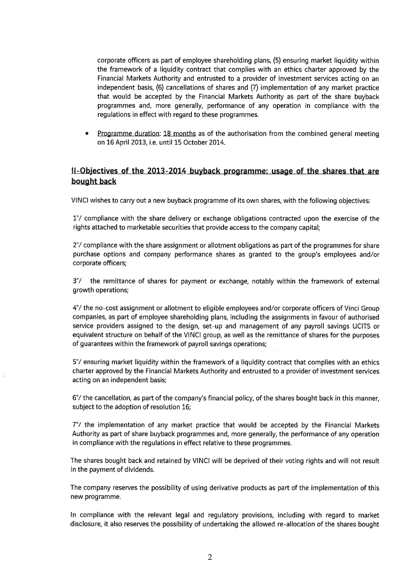corporate officers as part of employee shareholding plans, (5) ensuring market liquidity within the framework of a liquidity contract that complies with an ethics charter approved by the Financial Markets Authority and entrusted to a provider of investment seruices acting on an independent basis,  $(6)$  cancellations of shares and  $(7)$  implementation of any market practice that would be accepted by the Financial Markets Authority as part of the share buyback programmes and, more generally, performance of any operation in compliance with the regulations in effect with regard to these programmes.

a Programme duration: 18 months as of the authorisation from the combined general meeting on 16 April 2013, i.e. until 15 October 2014.

## ll-Obiectives of the 2013-2014 buyback programme: usage of the shares that are bought back

VINCI wishes to carry out a new buyback programme of its own shares, with the following objectives:

1°/ compliance with the share delivery or exchange obligations contracted upon the exercise of the rights attached to marketable securities that provide access to the company capital;

2"/ compliance with the share assignment or allotment obligations as part of the programmes for share purchase options and company performance shares as granted to the group's employees and/or corporate officers;

3"/ the remittance of shares for payment or exchange, notably within the framework of external growth operations;

4"/ the no-cost assignment or allotment to eligible employees and/or corporate officers of Vinci Group companies, as part of employee shareholding plans, including the assignments in favour of authorised service providers assigned to the design, set-up and management of any payroll savings UCITS or equivalent structure on behalf of the VINCI group, as well as the remittance of shares for the purposes of guarantees within the framework of payroll savings operations;

5'/ ensuring market liquidity within the framework of a liquidity contract that complies with an ethics chafter approved by the Financial Markets Authority and entrusted to a provider of investment seruices acting on an independent basis;

 $6^{\circ}$  the cancellation, as part of the company's financial policy, of the shares bought back in this manner, subject to the adoption of resolution 16;

7"/ the implementation of any market practice that would be accepted by the Financial Markets Authority as part of share buyback programmes and, more generally, the performance of any operation in compliance with the regulations in effect relative to these programmes.

The shares bought back and retained by VINCI will be deprived of their voting rights and will not result in the payment of dividends.

The company reserues the possibility of using derivative products as part of the implementation of this new programme.

ln compliance with the relevant legal and regulatory provisions, including with regard to market disclosure, it also reserves the possibility of undertaking the allowed re-allocation of the shares bought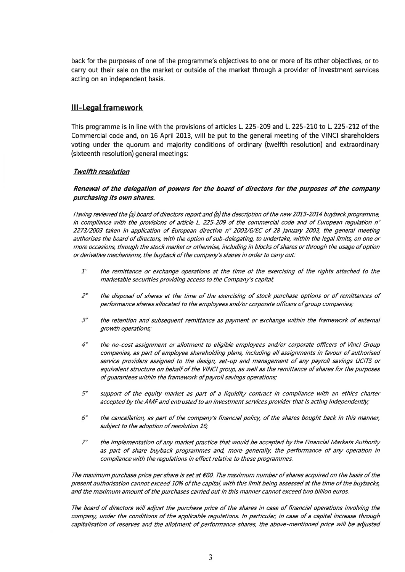back for the purposes of one of the programme's objectives to one or more of its other objectives, or to carry out their sale on the market or outside of the market through a provider of investment services acting on an independent basis.

### lll-Legal framework

This programme is in line with the provisions of afticles L.225-209 and L.225-210 to L. 225-272 of the Commercial code and, on 16 April 2013, will be put to the general meeting of the VINCI shareholders voting under the quorum and majority conditions of ordinary (twelfth resolution) and extraordinary (sixteenth resolution) general meetings:

#### **Twelfth resolution**

#### Renewal of the delegation of powers for the board of directors for the purposes of the company purchasing its own shares.

Having reviewed the (a) board of directors report and (b) the description of the new 2013-2014 buyback programme, in compliance with the provisions of article L. 225-209 of the commercial code and of European regulation  $n<sup>o</sup>$ 2273/2003 taken in application of European directive n" 2003/6/EC of 28 /anuary 2003, the general meeting authorises the board of directors, with the option of sub-delegating, to undertake, within the legal limits, on one or more occasions, through the stock market or otherwise, including in blocks of shares or through the usage of option or derivative mechanisms, the buyback of the company's shares in order to carry out:

- 1° the remittance or exchange operations at the time of the exercising of the rights attached to the marketable securities providing access to the Company's capital;
- the disposal of shares at the tíme of the exercising of stock purchase options or of remittances of performance shares allocated to the employees and/or corporate officers of group companies;  $2^{\circ}$
- the retention and subsequent remittance as payment or exchange within the framework of external growth operations;  $3<sup>o</sup>$
- the no-cost assignment or allotment to eligible employees and/or corporate officers of Vinci Group companies, as part of employee shareholding plans, including all assignments in favour of authorised seruice providers assigned to the design, set-up and management of any payroll savings UCITS or equivalent structure on behalf of the VINCI group, as well as the remittance of shares for the purposes of guarantees within the framework of payroll savings operations;  $4°$
- support of the equity market as part of a liquidity contract in compliance with an ethics charter accepted by the AMF and entrusted to an investment services provider that is acting independently;  $5<sup>o</sup>$
- the cancellation, as part of the company's financial policy, of the shares bought back in this manner, subject to the adoption of resolution 16;  $6<sup>°</sup>$
- the implementation of any merket prectice that would be accepted by the Financíal Markets Authority as part of share buyback programmes and, more generally, the performance of any operation in compliance with the regulations in effect relative to these programmes.  $7^\circ$

The maximum purchase price per share is set at €60. The maximum number of shares acquired on the basis of the present authorisation cannot exceed 10% of the capital, with this limit being assessed at the time of the buybacks, and the maximum amount of the purchases carried out in this manner cannot exceed two billion euros.

The board of directors will adjust the purchase price of the shares in case of financial operations involving the company, under the conditions of the appltcable regulations. ln particular, in case of a capital increase through capitalisation of reserues and the allotment of performance shareg the above-mentioned price will be adjusted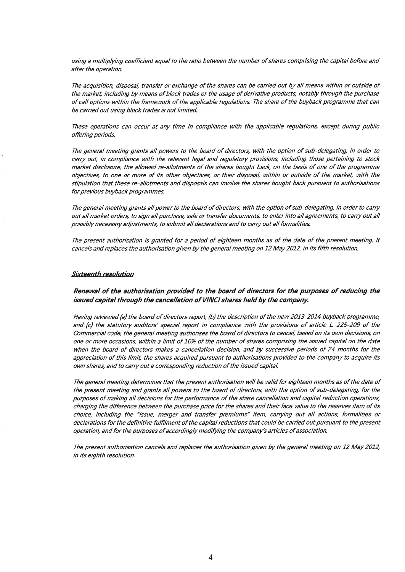using a multiplying coefficient equal to the ratio between the number of shares comprising the capital before and after the operation.

The acquisition, disposal, transfer or exchange of the shares can be carried out by all means within or outside of the market, including by means of block trades or the usage of derivative products, notably through the purchase of call options within the framework of the applicable regulations. The share of the buyback programme that can be carried out using block trades is not limited.

These operations can occur at any time in compliance with the applicable regulations, except during public offering periods.

The general meeting grants all powers to the board of directors, with the option of sub-delegating, in order to carry out, in compliance with the relevant legal and regulatory provisions, including those pertaining to stock market disclosure, the allowed re-allotments of the shares bought back, on the basis of one of the programme objectives, to one or more of its other objectives, or their disposal, within or outside of the market, with the stipulation that these re-allotments and disposals can involve the shares bought back pursuant to authorisations for previous buyback programmes.

The general meeting grants all power to the board of directors, with the option of sub-delegating, in order to carry out all market orders, to sign all purchase, sale or transfer documents, to enter into all agreements, to carry out all possibly necessary adjustments, to submit all declarations and to carry out all formalities.

The present authorisation is granted for a period of eighteen months as of the date of the present meeting. lt cancels and replaces the authorisation given by the general meeting on 12 May 20L2, in its fifth resolution.

#### **Sixteenth resolution**

#### Renewal of the authorisation provided to the board of directors for the purposes of reducing the issued capital through the cancellation of VINCI shares held by the company.

Having reviewed (a) the board of directors report, (b) the description of the new 2013-2014 buyback progremme, and (c) the statutory auditors' special report in compliance with the provisions of article L. 225-209 of the Commercial code, the general meeting authorises the board of directors to cancel, based on its own decisions, on one or more occasions, within a limit of 10% of the number of shares comprising the issued capital on the date when the board of directors makes a cancellation decision, and by successive periods of 24 months for the appreciation of this limit, the shares acquired pursuant to authorisations provided to the company to acquire its own shares, and to carry out a corresponding reduction of the issued capital.

The general meeting determines that the present authorisation will be valid for eighteen months as of the date of the present meeting and grants all powers to the board of directors, with the option of sub-delegating, for the purposes of making all decisions for the performance of the share cancellation and capital reduction operations, charging the difference between the purchase price for the shares and their face value to the reserues item of its choice, including the "issue, merger and transfer premiums" item, carrying out all actions, formalities or declarations for the definitive fulfilment of the capital reductions that could be carried out pursuant to the present operation, and for the purposes of accordingly modifying the company's articles of association.

The present authorisation cancels and replaces the authorisation given by the general meeting on 12 May 2012, in its eighth resolution.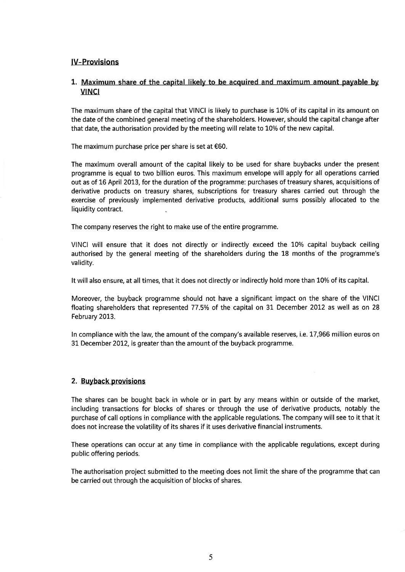### lV-Provisions

#### 1. Maximum share of the capital likely to be acquired and maximum amount payable by VINCI

The maximum share of the capital that VINCI is likely to purchase is 10% of its capital in its amount on the date of the combined general meeting of the shareholders. However, should the capital change after that date, the authorisation provided by the meeting will relate to 10% of the new capital.

The maximum purchase price per share is set at  $€60$ .

The maximum overall amount of the capital likely to be used for share buybacks under the present programme is equal to two billion euros. This maximum envelope will apply for all operations carried out as of 16 April 2013, for the duration of the programme: purchases of treasury shares, acquisitions of derivative products on treasury shares, subscriptions for treasury shares carried out through the exercise of previously implemented derivative products, additional sums possibly allocated to the liquidity contract.

The company reserves the right to make use of the entire programme.

VINCI will ensure that it does not directly or indirectly exceed the 10% capital buyback ceiling authorised by the general meeting of the shareholders during the 18 months of the programme's validity.

It will also ensure, at all times, that it does not directly or indirectly hold more than 10% of its capital.

Moreover, the buyback programme should not have a significant impact on the share of the VINCI floating shareholders that represented 77.5% of the capital on 31 December 2012 as well as on 28 February 2013.

ln compliance with the law, the amount of the company's available reserves, i.e. L7,966 million euros on 31 December 2012, is greater than the amount of the buyback programme.

### 2. Buyback provisions

The shares can be bought back in whole or in part by any means within or outside of the market, including transactions for blocks of shares or through the use of derivative products, notably the purchase of call options in compliance with the applicable regulations. The company will see to it that it does not increase the volatility of its shares if it uses derivative financial instruments.

These operations can occur at any time in compliance with the applicable regulations, except during public offering periods.

The authorisation project submitted to the meeting does not limit the share of the programme that can be carried out through the acquisition of blocks of shares.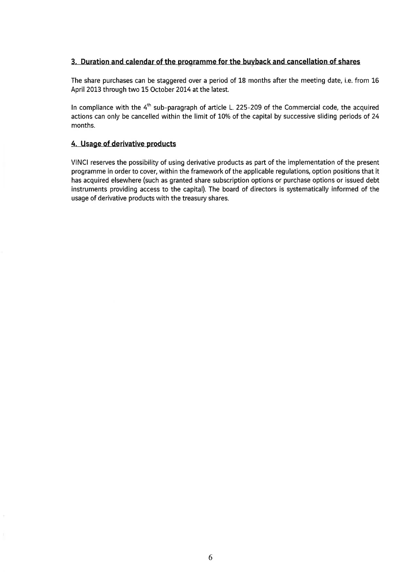#### 3. Duration and calendar of the orooramme for the buvback and cancellation of shares

The share purchases can be staggered over a period of L8 months after the meeting date, i.e, from 16 April 2013 through two 15 October 2014 at the latest.

In compliance with the  $4<sup>th</sup>$  sub-paragraph of article L. 225-209 of the Commercial code, the acquired actions can only be cancelled within the limit of 10% of the capital by successive sliding periods of 24 months.

#### 4. Usage of derivative products

VINCI reserves the possibility of using derivative products as part of the implementation of the present programme in order to cover, within the framework of the applicable regulations, option positions that it has acquired elsewhere (such as granted share subscription options or purchase options or issued debt instruments providing access to the capital). The board of directors is systematically informed of the usage of derivative products with the treasury shares.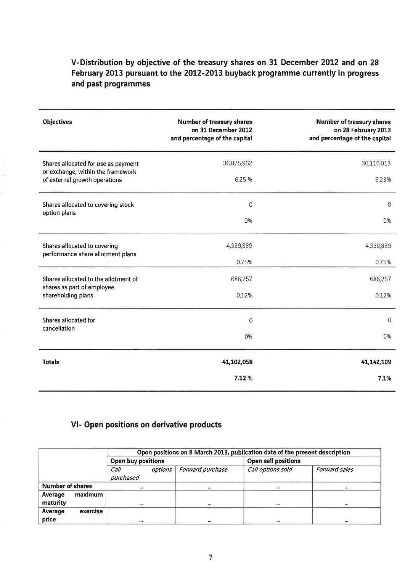# V-Distribution by objective of the treasury shares on 31 December 2012 and on 28 February 2013 pursuant to the 2012-2013 buyback programme currently in progress and past programmes

| <b>Objectives</b>                                                                                         | Number of treasury shares<br>on 31 December 2012<br>and percentage of the capital | Number of treasury shares<br>on 28 February 2013<br>and percentage of the capital |
|-----------------------------------------------------------------------------------------------------------|-----------------------------------------------------------------------------------|-----------------------------------------------------------------------------------|
| Shares allocated for use as payment<br>or exchange, within the framework<br>of external growth operations | 36,075,962<br>6.25 %                                                              | 36,116,013<br>6.23%                                                               |
| Shares allocated to covering stock<br>option plans                                                        | 0<br>0%                                                                           | $\Omega$<br>0%                                                                    |
| Shares allocated to covering<br>performance share allotment plans                                         | 4,339,839<br>0.75%                                                                | 4,339,839<br>0.75%                                                                |
| Shares allocated to the allotment of<br>shares as part of employee<br>shareholding plans                  | 686,257<br>0.12%                                                                  | 686,257<br>0.12%                                                                  |
| Shares allocated for<br>cancellation                                                                      | 0<br>0%                                                                           | $\mathbf 0$<br>0%                                                                 |
| <b>Totals</b>                                                                                             | 41,102,058<br>7.12 %                                                              | 41,142,109<br>7.1%                                                                |

# VI- Open positions on derivative products

|                         |                    | Open positions on 8 March 2013, publication date of the present description |                   |                            |  |  |  |
|-------------------------|--------------------|-----------------------------------------------------------------------------|-------------------|----------------------------|--|--|--|
|                         | Open buy positions |                                                                             |                   | <b>Open sell positions</b> |  |  |  |
|                         | Call<br>options    | Forward purchase                                                            | Call options sold | <b>Forward sales</b>       |  |  |  |
|                         | purchased          |                                                                             |                   |                            |  |  |  |
| <b>Number of shares</b> | $\cdots$           |                                                                             | $\cdots$          | $++$                       |  |  |  |
| maximum<br>Average      |                    |                                                                             |                   |                            |  |  |  |
| maturity                | $\cdots$           |                                                                             | $\cdots$          | $\cdots$                   |  |  |  |
| Average<br>exercise     |                    |                                                                             |                   |                            |  |  |  |
| price                   | $\cdots$           |                                                                             |                   | $\cdots$                   |  |  |  |